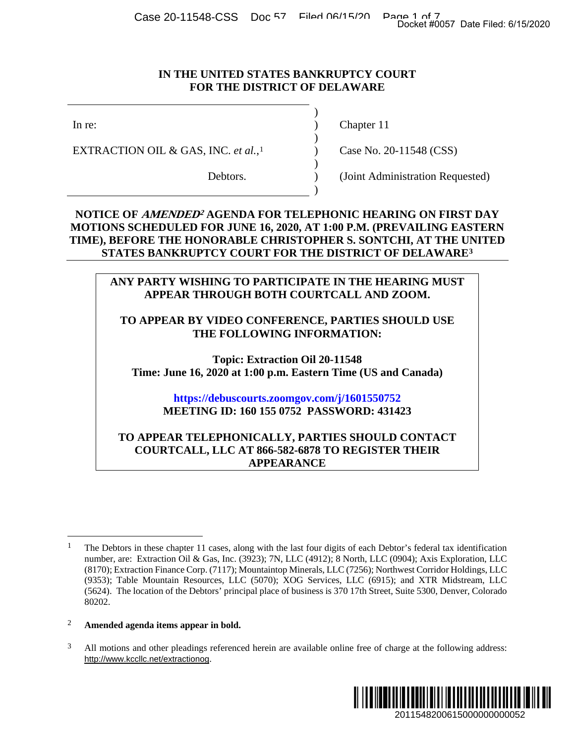Case 20-11548-CSS Doc 57 Filed 06/15/20 Page 1 of 7<br>Docket #0057 Date Filed: 6/15/2020

#### **IN THE UNITED STATES BANKRUPTCY COURT FOR THE DISTRICT OF DELAWARE**

)

)

 $\lambda$ 

)

EXTRACTION OIL & GAS, INC. *et al.*,<sup>[1](#page-0-0)</sup> (Case No. 20-11548 (CSS)

In re: (a) Chapter 11

Debtors. (Joint Administration Requested)

#### **NOTICE OF AMENDED2 AGENDA FOR TELEPHONIC HEARING ON FIRST DAY MOTIONS SCHEDULED FOR JUNE 16, 2020, AT 1:00 P.M. (PREVAILING EASTERN TIME), BEFORE THE HONORABLE CHRISTOPHER S. SONTCHI, AT THE UNITED STATES BANKRUPTCY COURT FOR THE DISTRICT OF DELAWARE[3](#page-0-1)**

#### **ANY PARTY WISHING TO PARTICIPATE IN THE HEARING MUST APPEAR THROUGH BOTH COURTCALL AND ZOOM.**

#### **TO APPEAR BY VIDEO CONFERENCE, PARTIES SHOULD USE THE FOLLOWING INFORMATION:**

**Topic: Extraction Oil 20-11548 Time: June 16, 2020 at 1:00 p.m. Eastern Time (US and Canada)**

### **<https://debuscourts.zoomgov.com/j/1601550752> MEETING ID: 160 155 0752 PASSWORD: 431423**

#### **TO APPEAR TELEPHONICALLY, PARTIES SHOULD CONTACT COURTCALL, LLC AT 866-582-6878 TO REGISTER THEIR APPEARANCE**

<span id="page-0-1"></span><sup>&</sup>lt;sup>3</sup> All motions and other pleadings referenced herein are available online free of charge at the following address: http://www.kccllc.net/extractionog.



<sup>&</sup>lt;sup>1</sup> The Debtors in these chapter 11 cases, along with the last four digits of each Debtor's federal tax identification number, are: Extraction Oil & Gas, Inc. (3923); 7N, LLC (4912); 8 North, LLC (0904); Axis Exploration, LLC (8170); Extraction Finance Corp. (7117); Mountaintop Minerals, LLC (7256); Northwest Corridor Holdings, LLC (9353); Table Mountain Resources, LLC (5070); XOG Services, LLC (6915); and XTR Midstream, LLC (5624). The location of the Debtors' principal place of business is 370 17th Street, Suite 5300, Denver, Colorado 80202. Docket #0057 Date Filed: 6/15/2020<br>
2011<br>
2012<br>
2011<br>
2012<br>
2012<br>
2012<br>
2013<br>
2013<br>
2013<br>
2010<br>
2019<br>
2019<br>
2019<br>
2019<br>
2019<br>
2019<br>
2019<br>
2019<br>
2019<br>
2019<br>
2020<br>
2020<br>
2020<br>
2020<br>
2020<br>
2020<br>
2020<br>
2020<br>
2020<br>
2020<br>
2020<br>

<span id="page-0-0"></span><sup>2</sup> **Amended agenda items appear in bold.**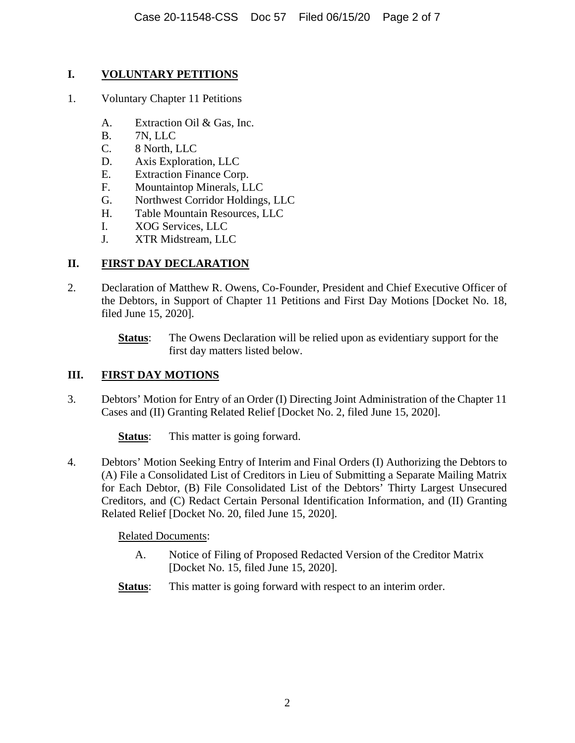### **I. VOLUNTARY PETITIONS**

- 1. Voluntary Chapter 11 Petitions
	- A. Extraction Oil & Gas, Inc.
	- B. 7N, LLC
	- C. 8 North, LLC
	- D. Axis Exploration, LLC
	- E. Extraction Finance Corp.
	- F. Mountaintop Minerals, LLC
	- G. Northwest Corridor Holdings, LLC
	- H. Table Mountain Resources, LLC
	- I. XOG Services, LLC
	- J. XTR Midstream, LLC

# **II. FIRST DAY DECLARATION**

2. Declaration of Matthew R. Owens, Co-Founder, President and Chief Executive Officer of the Debtors, in Support of Chapter 11 Petitions and First Day Motions [Docket No. 18, filed June 15, 2020].

> **Status**: The Owens Declaration will be relied upon as evidentiary support for the first day matters listed below.

## **III. FIRST DAY MOTIONS**

3. Debtors' Motion for Entry of an Order (I) Directing Joint Administration of the Chapter 11 Cases and (II) Granting Related Relief [Docket No. 2, filed June 15, 2020].

**Status:** This matter is going forward.

4. Debtors' Motion Seeking Entry of Interim and Final Orders (I) Authorizing the Debtors to (A) File a Consolidated List of Creditors in Lieu of Submitting a Separate Mailing Matrix for Each Debtor, (B) File Consolidated List of the Debtors' Thirty Largest Unsecured Creditors, and (C) Redact Certain Personal Identification Information, and (II) Granting Related Relief [Docket No. 20, filed June 15, 2020].

Related Documents:

- A. Notice of Filing of Proposed Redacted Version of the Creditor Matrix [Docket No. 15, filed June 15, 2020].
- **Status:** This matter is going forward with respect to an interim order.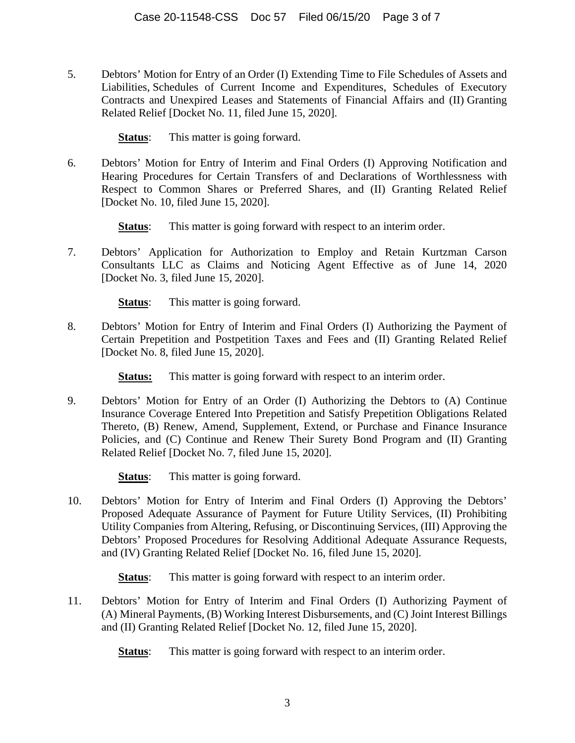5. Debtors' Motion for Entry of an Order (I) Extending Time to File Schedules of Assets and Liabilities, Schedules of Current Income and Expenditures, Schedules of Executory Contracts and Unexpired Leases and Statements of Financial Affairs and (II) Granting Related Relief [Docket No. 11, filed June 15, 2020].

**Status:** This matter is going forward.

6. Debtors' Motion for Entry of Interim and Final Orders (I) Approving Notification and Hearing Procedures for Certain Transfers of and Declarations of Worthlessness with Respect to Common Shares or Preferred Shares, and (II) Granting Related Relief [Docket No. 10, filed June 15, 2020].

**Status:** This matter is going forward with respect to an interim order.

7. Debtors' Application for Authorization to Employ and Retain Kurtzman Carson Consultants LLC as Claims and Noticing Agent Effective as of June 14, 2020 [Docket No. 3, filed June 15, 2020].

**Status:** This matter is going forward.

8. Debtors' Motion for Entry of Interim and Final Orders (I) Authorizing the Payment of Certain Prepetition and Postpetition Taxes and Fees and (II) Granting Related Relief [Docket No. 8, filed June 15, 2020].

**Status:** This matter is going forward with respect to an interim order.

- 9. Debtors' Motion for Entry of an Order (I) Authorizing the Debtors to (A) Continue Insurance Coverage Entered Into Prepetition and Satisfy Prepetition Obligations Related Thereto, (B) Renew, Amend, Supplement, Extend, or Purchase and Finance Insurance Policies, and (C) Continue and Renew Their Surety Bond Program and (II) Granting Related Relief [Docket No. 7, filed June 15, 2020].
	- **Status:** This matter is going forward.
- 10. Debtors' Motion for Entry of Interim and Final Orders (I) Approving the Debtors' Proposed Adequate Assurance of Payment for Future Utility Services, (II) Prohibiting Utility Companies from Altering, Refusing, or Discontinuing Services, (III) Approving the Debtors' Proposed Procedures for Resolving Additional Adequate Assurance Requests, and (IV) Granting Related Relief [Docket No. 16, filed June 15, 2020].

**Status:** This matter is going forward with respect to an interim order.

11. Debtors' Motion for Entry of Interim and Final Orders (I) Authorizing Payment of (A) Mineral Payments, (B) Working Interest Disbursements, and (C) Joint Interest Billings and (II) Granting Related Relief [Docket No. 12, filed June 15, 2020].

**Status:** This matter is going forward with respect to an interim order.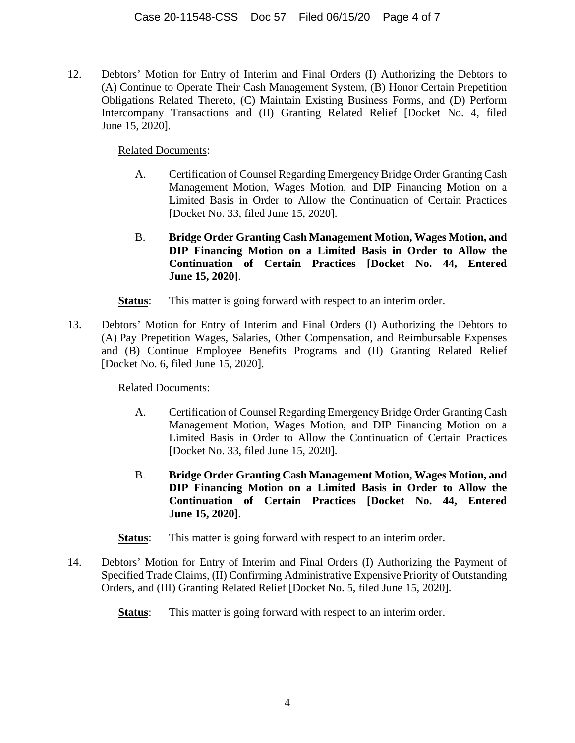12. Debtors' Motion for Entry of Interim and Final Orders (I) Authorizing the Debtors to (A) Continue to Operate Their Cash Management System, (B) Honor Certain Prepetition Obligations Related Thereto, (C) Maintain Existing Business Forms, and (D) Perform Intercompany Transactions and (II) Granting Related Relief [Docket No. 4, filed June 15, 2020].

Related Documents:

- A. Certification of Counsel Regarding Emergency Bridge Order Granting Cash Management Motion, Wages Motion, and DIP Financing Motion on a Limited Basis in Order to Allow the Continuation of Certain Practices [Docket No. 33, filed June 15, 2020].
- B. **Bridge Order Granting Cash Management Motion, Wages Motion, and DIP Financing Motion on a Limited Basis in Order to Allow the Continuation of Certain Practices [Docket No. 44, Entered June 15, 2020]**.
- **Status:** This matter is going forward with respect to an interim order.
- 13. Debtors' Motion for Entry of Interim and Final Orders (I) Authorizing the Debtors to (A) Pay Prepetition Wages, Salaries, Other Compensation, and Reimbursable Expenses and (B) Continue Employee Benefits Programs and (II) Granting Related Relief [Docket No. 6, filed June 15, 2020].

Related Documents:

- A. Certification of Counsel Regarding Emergency Bridge Order Granting Cash Management Motion, Wages Motion, and DIP Financing Motion on a Limited Basis in Order to Allow the Continuation of Certain Practices [Docket No. 33, filed June 15, 2020].
- B. **Bridge Order Granting Cash Management Motion, Wages Motion, and DIP Financing Motion on a Limited Basis in Order to Allow the Continuation of Certain Practices [Docket No. 44, Entered June 15, 2020]**.
- **Status:** This matter is going forward with respect to an interim order.
- 14. Debtors' Motion for Entry of Interim and Final Orders (I) Authorizing the Payment of Specified Trade Claims, (II) Confirming Administrative Expensive Priority of Outstanding Orders, and (III) Granting Related Relief [Docket No. 5, filed June 15, 2020].
	- **Status:** This matter is going forward with respect to an interim order.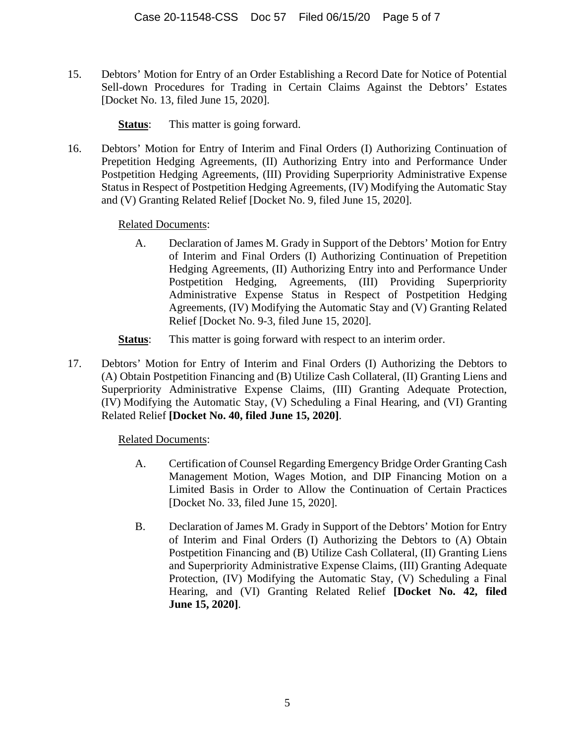15. Debtors' Motion for Entry of an Order Establishing a Record Date for Notice of Potential Sell-down Procedures for Trading in Certain Claims Against the Debtors' Estates [Docket No. 13, filed June 15, 2020].

**Status:** This matter is going forward.

16. Debtors' Motion for Entry of Interim and Final Orders (I) Authorizing Continuation of Prepetition Hedging Agreements, (II) Authorizing Entry into and Performance Under Postpetition Hedging Agreements, (III) Providing Superpriority Administrative Expense Status in Respect of Postpetition Hedging Agreements, (IV) Modifying the Automatic Stay and (V) Granting Related Relief [Docket No. 9, filed June 15, 2020].

Related Documents:

- A. Declaration of James M. Grady in Support of the Debtors' Motion for Entry of Interim and Final Orders (I) Authorizing Continuation of Prepetition Hedging Agreements, (II) Authorizing Entry into and Performance Under Postpetition Hedging, Agreements, (III) Providing Superpriority Administrative Expense Status in Respect of Postpetition Hedging Agreements, (IV) Modifying the Automatic Stay and (V) Granting Related Relief [Docket No. 9-3, filed June 15, 2020].
- **Status:** This matter is going forward with respect to an interim order.
- 17. Debtors' Motion for Entry of Interim and Final Orders (I) Authorizing the Debtors to (A) Obtain Postpetition Financing and (B) Utilize Cash Collateral, (II) Granting Liens and Superpriority Administrative Expense Claims, (III) Granting Adequate Protection, (IV) Modifying the Automatic Stay, (V) Scheduling a Final Hearing, and (VI) Granting Related Relief **[Docket No. 40, filed June 15, 2020]**.

Related Documents:

- A. Certification of Counsel Regarding Emergency Bridge Order Granting Cash Management Motion, Wages Motion, and DIP Financing Motion on a Limited Basis in Order to Allow the Continuation of Certain Practices [Docket No. 33, filed June 15, 2020].
- B. Declaration of James M. Grady in Support of the Debtors' Motion for Entry of Interim and Final Orders (I) Authorizing the Debtors to (A) Obtain Postpetition Financing and (B) Utilize Cash Collateral, (II) Granting Liens and Superpriority Administrative Expense Claims, (III) Granting Adequate Protection, (IV) Modifying the Automatic Stay, (V) Scheduling a Final Hearing, and (VI) Granting Related Relief **[Docket No. 42, filed June 15, 2020]**.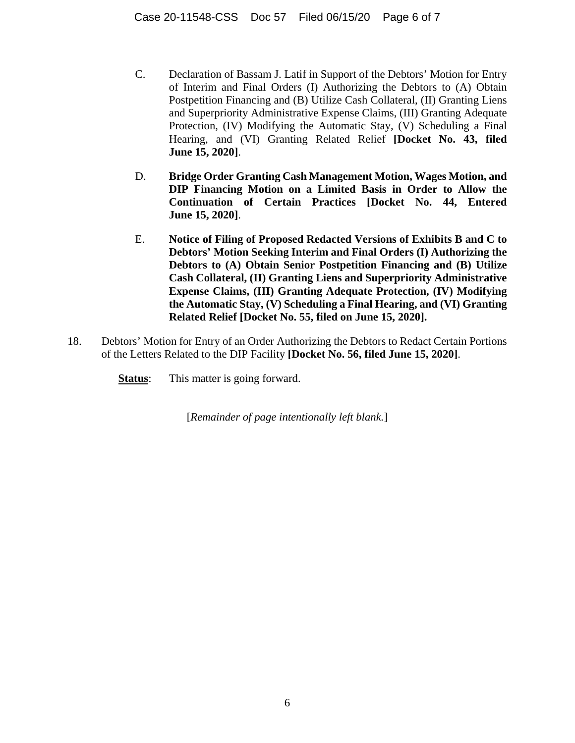- C. Declaration of Bassam J. Latif in Support of the Debtors' Motion for Entry of Interim and Final Orders (I) Authorizing the Debtors to (A) Obtain Postpetition Financing and (B) Utilize Cash Collateral, (II) Granting Liens and Superpriority Administrative Expense Claims, (III) Granting Adequate Protection, (IV) Modifying the Automatic Stay, (V) Scheduling a Final Hearing, and (VI) Granting Related Relief **[Docket No. 43, filed June 15, 2020]**.
- D. **Bridge Order Granting Cash Management Motion, Wages Motion, and DIP Financing Motion on a Limited Basis in Order to Allow the Continuation of Certain Practices [Docket No. 44, Entered June 15, 2020]**.
- E. **Notice of Filing of Proposed Redacted Versions of Exhibits B and C to Debtors' Motion Seeking Interim and Final Orders (I) Authorizing the Debtors to (A) Obtain Senior Postpetition Financing and (B) Utilize Cash Collateral, (II) Granting Liens and Superpriority Administrative Expense Claims, (III) Granting Adequate Protection, (IV) Modifying the Automatic Stay, (V) Scheduling a Final Hearing, and (VI) Granting Related Relief [Docket No. 55, filed on June 15, 2020].**
- 18. Debtors' Motion for Entry of an Order Authorizing the Debtors to Redact Certain Portions of the Letters Related to the DIP Facility **[Docket No. 56, filed June 15, 2020]**.
	- **Status:** This matter is going forward.

[*Remainder of page intentionally left blank.*]